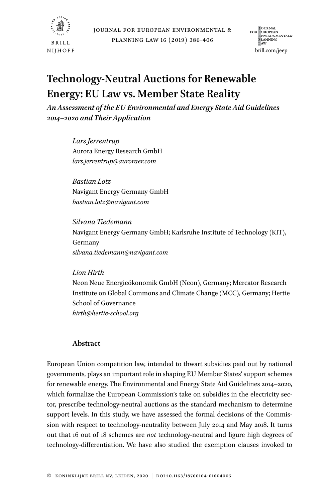

J OURNAL<br>FOR E UROPEAN<br>E NVIRONMENTAL&<br>P LANNING<br>L AW brill.com/jeep

# **Technology-Neutral Auctions for Renewable Energy: EU Law vs. Member State Reality**

*An Assessment of the EU Environmental and Energy State Aid Guidelines 2014–2020 and Their Application*

> *Lars Jerrentrup* Aurora Energy Research GmbH *lars.jerrentrup@auroraer.com*

*Bastian Lotz* Navigant Energy Germany GmbH *bastian.lotz@navigant.com*

*Silvana Tiedemann* Navigant Energy Germany GmbH; Karlsruhe Institute of Technology (KIT), Germany *silvana.tiedemann@navigant.com*

*Lion Hirth*

Neon Neue Energieökonomik GmbH (Neon), Germany; Mercator Research Institute on Global Commons and Climate Change (MCC), Germany; Hertie School of Governance *hirth@hertie-school.org*

# **Abstract**

European Union competition law, intended to thwart subsidies paid out by national governments, plays an important role in shaping EU Member States' support schemes for renewable energy. The Environmental and Energy State Aid Guidelines 2014–2020, which formalize the European Commission's take on subsidies in the electricity sector, prescribe technology-neutral auctions as the standard mechanism to determine support levels. In this study, we have assessed the formal decisions of the Commission with respect to technology-neutrality between July 2014 and May 2018. It turns out that 16 out of 18 schemes are *not* technology-neutral and figure high degrees of technology-differentiation. We have also studied the exemption clauses invoked to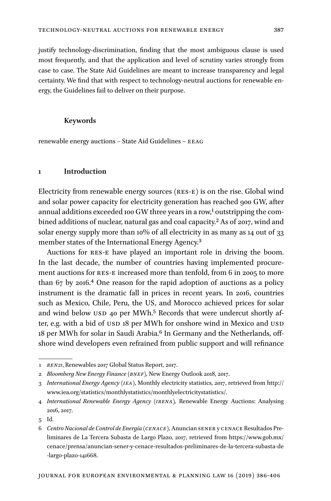justify technology-discrimination, finding that the most ambiguous clause is used most frequently, and that the application and level of scrutiny varies strongly from case to case. The State Aid Guidelines are meant to increase transparency and legal certainty. We find that with respect to technology-neutral auctions for renewable energy, the Guidelines fail to deliver on their purpose.

## **Keywords**

renewable energy auctions – State Aid Guidelines – EEAG

## **1 Introduction**

Electricity from renewable energy sources (res-E) is on the rise. Global wind and solar power capacity for electricity generation has reached 900 GW, after annual additions exceeded 100 GW three years in a row,<sup>1</sup> outstripping the combined additions of nuclear, natural gas and coal capacity.<sup>2</sup> As of 2017, wind and solar energy supply more than 10% of all electricity in as many as 14 out of 33 member states of the International Energy Agency.<sup>[3](#page-1-2)</sup>

shore wind developers even refrained from public support and will refinance Auctions for res-E have played an important role in driving the boom. In the last decade, the number of countries having implemented procurement auctions for res-E increased more than tenfold, from 6 in 2005 to more than 67 by 2016.[4](#page-1-3) One reason for the rapid adoption of auctions as a policy instrument is the dramatic fall in prices in recent years. In 2016, countries such as Mexico, Chile, Peru, the US, and Morocco achieved prices for solar and wind below  $\text{USD }$  40 per MWh.<sup>5</sup> Records that were undercut shortly after, e.g. with a bid of USD 18 per MWh for onshore wind in Mexico and USD 18 per MWh for solar in Saudi Arabia.<sup>6</sup> In Germany and the Netherlands, off-

<span id="page-1-0"></span><sup>1</sup> *ren21*, Renewables 2017 Global Status Report, 2017.

<span id="page-1-1"></span><sup>2</sup> *Bloomberg New Energy Finance (bnef),* New Energy Outlook 2018, 2017.

<span id="page-1-2"></span><sup>3</sup> *International Energy Agency (iea)*, Monthly electricity statistics, 2017, retrieved from [http://](http://www.iea.org/statistics/monthlystatistics/monthlyelectricitystatistics/) [www.iea.org/statistics/monthlystatistics/monthlyelectricitystatistics/](http://www.iea.org/statistics/monthlystatistics/monthlyelectricitystatistics/).

<span id="page-1-3"></span><sup>4</sup> *International Renewable Energy Agency (irena),* Renewable Energy Auctions: Analysing 2016, 2017.

<span id="page-1-4"></span><sup>5</sup> Id.

<span id="page-1-5"></span><sup>6</sup> *Centro Nacional de Control de Energía (cenace)*, Anuncian sener y cenace Resultados Preliminares de La Tercera Subasta de Largo Plazo, 2017, retrieved from [https://www.gob.mx/](https://www.gob.mx/cenace/prensa/anuncian-sener-y-cenace-resultados-preliminares-de-la-tercera-subasta-de-largo-plazo-141668) [cenace/prensa/anuncian-sener-y-cenace-resultados-preliminares-de-la-tercera-subasta-de](https://www.gob.mx/cenace/prensa/anuncian-sener-y-cenace-resultados-preliminares-de-la-tercera-subasta-de-largo-plazo-141668) [-largo-plazo-141668](https://www.gob.mx/cenace/prensa/anuncian-sener-y-cenace-resultados-preliminares-de-la-tercera-subasta-de-largo-plazo-141668).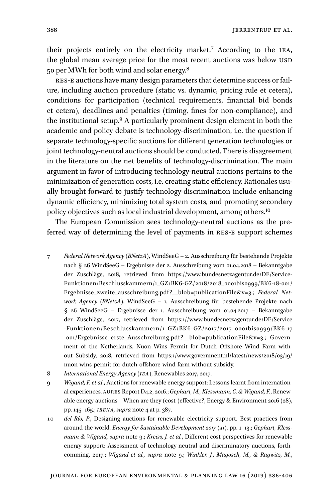Jerrentrup et al.

their projects entirely on the electricity market.<sup>7</sup> According to the IEA, the global mean average price for the most recent auctions was below USD 50 per MWh for both wind and solar energy.[8](#page-2-1)

res-E auctions have many design parameters that determine success or failure, including auction procedure (static vs. dynamic, pricing rule et cetera), conditions for participation (technical requirements, financial bid bonds et cetera), deadlines and penalties (timing, fines for non-compliance), and the institutional setup.[9](#page-2-2) A particularly prominent design element in both the academic and policy debate is technology-discrimination, i.e. the question if separate technology-specific auctions for different generation technologies or joint technology-neutral auctions should be conducted. There is disagreement in the literature on the net benefits of technology-discrimination. The main argument in favor of introducing technology-neutral auctions pertains to the minimization of generation costs, i.e. creating static efficiency. Rationales usually brought forward to justify technology-discrimination include enhancing dynamic efficiency, minimizing total system costs, and promoting secondary policy objectives such as local industrial development, among others[.10](#page-2-3)

7 ferred way of determining the level of payments in res-E support schemes The European Commission sees technology-neutral auctions as the pre-

<span id="page-2-0"></span><sup>7</sup> *Federal Network Agency (BNetzA)*, WindSeeG – 2. Ausschreibung für bestehende Projekte nach § 26 WindSeeG – Ergebnisse der 2. Ausschreibung vom 01.04.2018 – Bekanntgabe der Zuschläge, 2018, retrieved from [https://www.bundesnetzagentur.de/DE/Service-](https://www.bundesnetzagentur.de/DE/Service-Funktionen/Beschlusskammern/1_GZ/BK6-GZ/2018/2018_0001bis0999/BK6-18-001/Ergebnisse_zweite_ausschreibung.pdf?__blob=publicationFile&v=3)[Funktionen/Beschlusskammern/1\\_GZ/BK6-GZ/2018/2018\\_0001bis0999/BK6-18-001/](https://www.bundesnetzagentur.de/DE/Service-Funktionen/Beschlusskammern/1_GZ/BK6-GZ/2018/2018_0001bis0999/BK6-18-001/Ergebnisse_zweite_ausschreibung.pdf?__blob=publicationFile&v=3) [Ergebnisse\\_zweite\\_ausschreibung.pdf?\\_\\_blob=publicationFile&v=3.](https://www.bundesnetzagentur.de/DE/Service-Funktionen/Beschlusskammern/1_GZ/BK6-GZ/2018/2018_0001bis0999/BK6-18-001/Ergebnisse_zweite_ausschreibung.pdf?__blob=publicationFile&v=3); *Federal Network Agency (BNetzA)*, WindSeeG – 1. Ausschreibung für bestehende Projekte nach § 26 WindSeeG – Ergebnisse der 1. Ausschreibung vom 01.04.2017 – Bekanntgabe der Zuschläge, 2017, retrieved from [https:///www.bundesnetzagentur.de/DE/Service](https://www.bundesnetzagentur.de/DE/Service-Funktionen/Beschlusskammern/1_GZ/BK6-GZ/2017/2017_0001bis0999/BK6-17-001/Ergebnisse_erste_Ausschreibung.pdf?__blob=publicationFile&v=3) [-Funktionen/Beschlusskammern/1\\_GZ/BK6-GZ/2017/2017\\_0001bis0999/BK6-17](https://www.bundesnetzagentur.de/DE/Service-Funktionen/Beschlusskammern/1_GZ/BK6-GZ/2017/2017_0001bis0999/BK6-17-001/Ergebnisse_erste_Ausschreibung.pdf?__blob=publicationFile&v=3) -001/Ergebnisse\_erste\_Ausschreibung.pdf?\_blob=publicationFile&v=3.; Government of the Netherlands, Nuon Wins Permit for Dutch Offshore Wind Farm without Subsidy, 2018, retrieved from [https://www.government.nl/latest/news/2018/03/19/](https://www.government.nl/latest/news/2018/03/19/nuon-wins-permit-for-dutch-offshore-wind-farm-without-subsidy) [nuon-wins-permit-for-dutch-offshore-wind-farm-without-subsidy](https://www.government.nl/latest/news/2018/03/19/nuon-wins-permit-for-dutch-offshore-wind-farm-without-subsidy).

<span id="page-2-1"></span><sup>8</sup> *International Energy Agency (iea)*, Renewables 2017, 2017.

<span id="page-2-2"></span><sup>9</sup> *Wigand, F. et al*., Auctions for renewable energy support: Lessons learnt from international experiences. aures Report D4.2, 2016.; *Gephart, M., Klessmann, C. & Wigand, F.*, Renewable energy auctions – When are they (cost-)effective?, Energy & Environment 2016 (28), pp. 145–165.; *irena, supra* note 4 at p. 387.

<span id="page-2-3"></span><sup>10</sup> *del Río, P.*, Designing auctions for renewable electricity support. Best practices from around the world. *Energy for Sustainable Development 2017* (*41)*, pp. 1–13.; *Gephart, Klessmann & Wigand, supra* note 9.; *Kreiss, J. et al.*, Different cost perspectives for renewable energy support: Assessment of technology-neutral and discriminatory auctions, forthcomming, 2017.; *Wigand et al., supra* note 9.; *Winkler, J., Magosch, M., & Ragwitz, M.*,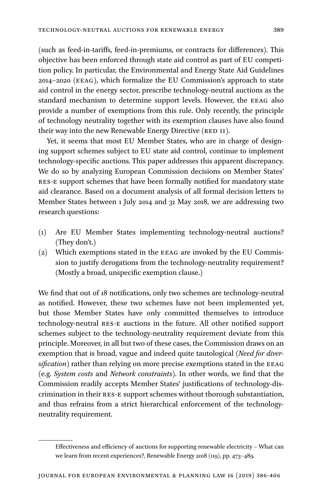(such as feed-in-tariffs, feed-in-premiums, or contracts for differences). This objective has been enforced through state aid control as part of EU competition policy. In particular, the Environmental and Energy State Aid Guidelines 2014–2020 (eeag), which formalize the EU Commission's approach to state aid control in the energy sector, prescribe technology-neutral auctions as the standard mechanism to determine support levels. However, the EEAG also provide a number of exemptions from this rule. Only recently, the principle of technology neutrality together with its exemption clauses have also found their way into the new Renewable Energy Directive (RED II).

Yet, it seems that most EU Member States, who are in charge of designing support schemes subject to EU state aid control, continue to implement technology-specific auctions. This paper addresses this apparent discrepancy. We do so by analyzing European Commission decisions on Member States' res-E support schemes that have been formally notified for mandatory state aid clearance. Based on a document analysis of all formal decision letters to Member States between 1 July 2014 and 31 May 2018, we are addressing two research questions:

- (1) Are EU Member States implementing technology-neutral auctions? (They don't.)
- (2) Which exemptions stated in the EEAG are invoked by the EU Commission to justify derogations from the technology-neutrality requirement? (Mostly a broad, unspecific exemption clause.)

We find that out of 18 notifications, only two schemes are technology-neutral as notified. However, these two schemes have not been implemented yet, but those Member States have only committed themselves to introduce technology-neutral res-E auctions in the future. All other notified support schemes subject to the technology-neutrality requirement deviate from this principle. Moreover, in all but two of these cases, the Commission draws on an exemption that is broad, vague and indeed quite tautological (*Need for diver* $sification)$  rather than relying on more precise exemptions stated in the EEAG (e.g. *System costs* and *Network constraints*). In other words, we find that the Commission readily accepts Member States' justifications of technology-discrimination in their res-E support schemes without thorough substantiation, and thus refrains from a strict hierarchical enforcement of the technologyneutrality requirement.

Effectiveness and efficiency of auctions for supporting renewable electricity – What can we learn from recent experiences?, Renewable Energy 2018 (119), pp. 473–489.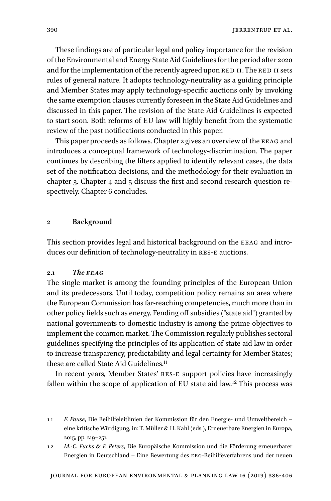These findings are of particular legal and policy importance for the revision of the Environmental and Energy State Aid Guidelines for the period after 2020 and for the implementation of the recently agreed upon RED II. The RED II sets rules of general nature. It adopts technology-neutrality as a guiding principle and Member States may apply technology-specific auctions only by invoking the same exemption clauses currently foreseen in the State Aid Guidelines and discussed in this paper. The revision of the State Aid Guidelines is expected to start soon. Both reforms of EU law will highly benefit from the systematic review of the past notifications conducted in this paper.

This paper proceeds as follows. Chapter 2 gives an overview of the EEAG and introduces a conceptual framework of technology-discrimination. The paper continues by describing the filters applied to identify relevant cases, the data set of the notification decisions, and the methodology for their evaluation in chapter 3. Chapter 4 and 5 discuss the first and second research question respectively. Chapter 6 concludes.

## **2 Background**

This section provides legal and historical background on the eeag and introduces our definition of technology-neutrality in res-E auctions.

## **2.1** *The eeag*

The single market is among the founding principles of the European Union and its predecessors. Until today, competition policy remains an area where the European Commission has far-reaching competencies, much more than in other policy fields such as energy. Fending off subsidies ("state aid") granted by national governments to domestic industry is among the prime objectives to implement the common market. The Commission regularly publishes sectoral guidelines specifying the principles of its application of state aid law in order to increase transparency, predictability and legal certainty for Member States; these are called State Aid Guidelines.<sup>11</sup>

In recent years, Member States' RES-E support policies have increasingly fallen within the scope of application of EU state aid law[.12](#page-4-1) This process was

<span id="page-4-0"></span><sup>11</sup> *F. Pause*, Die Beihilfeleitlinien der Kommission für den Energie- und Umweltbereich – eine kritische Würdigung, in: T. Müller & H. Kahl (eds.), Erneuerbare Energien in Europa, 2015, pp. 219–251.

<span id="page-4-1"></span><sup>12</sup> *M.-C. Fuchs & F. Peters*, Die Europäische Kommission und die Förderung erneuerbarer Energien in Deutschland – Eine Bewertung des eeg-Beihilfeverfahrens und der neuen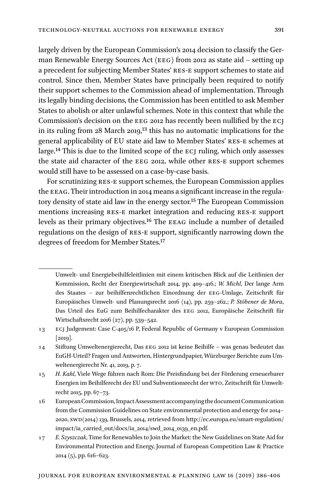largely driven by the European Commission's 2014 decision to classify the German Renewable Energy Sources Act (EEG) from 2012 as state aid – setting up a precedent for subjecting Member States' RES-E support schemes to state aid control. Since then, Member States have principally been required to notify their support schemes to the Commission ahead of implementation. Through its legally binding decisions, the Commission has been entitled to ask Member States to abolish or alter unlawful schemes. Note in this context that while the Commission's decision on the EEG 2012 has recently been nullified by the ECJ in its ruling from 28 March 2019,[13](#page-5-0) this has no automatic implications for the general applicability of EU state aid law to Member States' res-E schemes at large.<sup>[14](#page-5-1)</sup> This is due to the limited scope of the ECJ ruling, which only assesses the state aid character of the eeg 2012, while other res-E support schemes would still have to be assessed on a case-by-case basis.

For scrutinizing RES-E support schemes, the European Commission applies the eeag. Their introduction in 2014 means a significant increase in the regula-tory density of state aid law in the energy sector.<sup>[15](#page-5-2)</sup> The European Commission mentions increasing res-E market integration and reducing res-E support levels as their primary objectives.<sup>[16](#page-5-3)</sup> The EEAG include a number of detailed regulations on the design of res-E support, significantly narrowing down the degrees of freedom for Member States[.17](#page-5-4)

Umwelt- und Energiebeihilfeleitlinien mit einem kritischen Blick auf die Leitlinien der Kommission, Recht der Energiewirtschaft 2014, pp. 409–416.; *W. Michl*, Der lange Arm des Staates – zur beihilfenrechtlichen Einordnung der eeg-Umlage, Zeitschrift für Europäisches Umwelt- und Planungsrecht 2016 (14), pp. 259–262.; *P. Stöbener de Mora*, Das Urteil des EuG zum Beihilfecharakter des eeg 2012, Europäische Zeitschrift für Wirtschaftsrecht 2016 (27), pp. 539–542.

<span id="page-5-0"></span><sup>13</sup> ecj Judgement: Case C-405/16 P, Federal Republic of Germany v European Commission [2019].

<span id="page-5-1"></span><sup>14</sup> Stiftung Umweltenergierecht, Das eeg 2012 ist keine Beihilfe – was genau bedeutet das EuGH-Urteil? Fragen und Antworten, Hintergrundpapier, Würzburger Berichte zum Umweltenergierecht Nr. 41, 2019, p. 7.

<span id="page-5-2"></span><sup>15</sup> *H. Kahl*, Viele Wege führen nach Rom: Die Preisfindung bei der Förderung erneuerbarer Energien im Beihilferecht der EU und Subventionsrecht der wto, Zeitschrift für Umweltrecht 2015, pp. 67–73.

<span id="page-5-3"></span><sup>16</sup> European Commission, Impact Assessment accompanying the document Communication from the Commission Guidelines on State environmental protection and energy for 2014– 2020, swd(2014) 139, Brussels, 2014, retrieved from [http://ec.europa.eu/smart-regulation/](http://ec.europa.eu/smart-regulation/impact/ia_carried_out/docs/ia_2014/swd_2014_0139_en.pdf) [impact/ia\\_carried\\_out/docs/ia\\_2014/swd\\_2014\\_0139\\_en.pdf](http://ec.europa.eu/smart-regulation/impact/ia_carried_out/docs/ia_2014/swd_2014_0139_en.pdf).

<span id="page-5-4"></span><sup>17</sup> *E. Szyszczak*, Time for Renewables to Join the Market: the New Guidelines on State Aid for Environmental Protection and Energy, Journal of European Competition Law & Practice 2014 (5), pp. 616–623.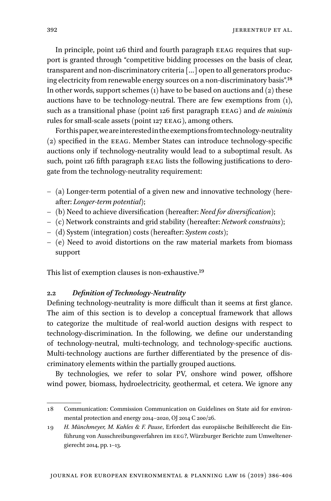In principle, point 126 third and fourth paragraph eeag requires that support is granted through "competitive bidding processes on the basis of clear, transparent and non-discriminatory criteria […] open to all generators producing electricity from renewable energy sources on a non-discriminatory basis".[18](#page-6-0) In other words, support schemes  $(1)$  have to be based on auctions and  $(2)$  these auctions have to be technology-neutral. There are few exemptions from (1), such as a transitional phase (point 126 first paragraph eeag) and *de minimis* rules for small-scale assets (point 127 EEAG), among others.

For this paper, we are interested in the exemptions from technology-neutrality (2) specified in the eeag. Member States can introduce technology-specific auctions only if technology-neutrality would lead to a suboptimal result. As such, point 126 fifth paragraph EEAG lists the following justifications to derogate from the technology-neutrality requirement:

- (a) Longer-term potential of a given new and innovative technology (hereafter: *Longer-term potential*);
- (b) Need to achieve diversification (hereafter: *Need for diversification*);
- (c) Network constraints and grid stability (hereafter: *Network constrains*);
- (d) System (integration) costs (hereafter: *System costs*);
- (e) Need to avoid distortions on the raw material markets from biomass support

This list of exemption clauses is non-exhaustive[.19](#page-6-1)

## **2.2** *Definition of Technology-Neutrality*

Defining technology-neutrality is more difficult than it seems at first glance. The aim of this section is to develop a conceptual framework that allows to categorize the multitude of real-world auction designs with respect to technology-discrimination. In the following, we define our understanding of technology-neutral, multi-technology, and technology-specific auctions. Multi-technology auctions are further differentiated by the presence of discriminatory elements within the partially grouped auctions.

By technologies, we refer to solar PV, onshore wind power, offshore wind power, biomass, hydroelectricity, geothermal, et cetera. We ignore any

<span id="page-6-0"></span><sup>18</sup> Communication: Commission Communication on Guidelines on State aid for environmental protection and energy 2014–2020, OJ 2014 C 200/26.

<span id="page-6-1"></span><sup>19</sup> *H. Münchmeyer, M. Kahles & F. Pause*, Erfordert das europäische Beihilferecht die Einführung von Ausschreibungsverfahren im eeg?, Würzburger Berichte zum Umweltenergierecht 2014, pp. 1–13.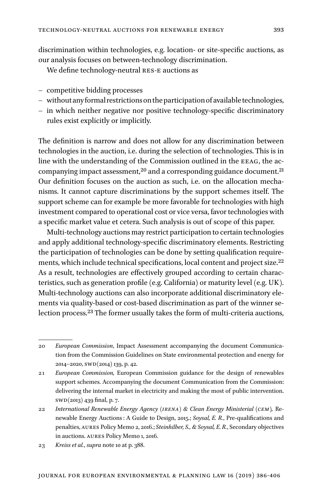discrimination within technologies, e.g. location- or site-specific auctions, as our analysis focuses on between-technology discrimination.

We define technology-neutral RES-E auctions as

- competitive bidding processes
- without any formal restrictions on the participation of available technologies,
- in which neither negative nor positive technology-specific discriminatory rules exist explicitly or implicitly.

The definition is narrow and does not allow for any discrimination between technologies in the auction, i.e. during the selection of technologies. This is in line with the understanding of the Commission outlined in the EEAG, the ac-companying impact assessment,<sup>20</sup> and a corresponding guidance document.<sup>[21](#page-7-1)</sup> Our definition focuses on the auction as such, i.e. on the allocation mechanisms. It cannot capture discriminations by the support schemes itself. The support scheme can for example be more favorable for technologies with high investment compared to operational cost or vice versa, favor technologies with a specific market value et cetera. Such analysis is out of scope of this paper.

Multi-technology auctions may restrict participation to certain technologies and apply additional technology-specific discriminatory elements. Restricting the participation of technologies can be done by setting qualification requirements, which include technical specifications, local content and project size.<sup>22</sup> As a result, technologies are effectively grouped according to certain characteristics, such as generation profile (e.g. California) or maturity level (e.g. UK). Multi-technology auctions can also incorporate additional discriminatory elements via quality-based or cost-based discrimination as part of the winner selection process.<sup>23</sup> The former usually takes the form of multi-criteria auctions,

<span id="page-7-0"></span><sup>20</sup> *European Commission*, Impact Assessment accompanying the document Communication from the Commission Guidelines on State environmental protection and energy for 2014–2020, swd(2014) 139, p. 42.

<span id="page-7-1"></span><sup>21</sup> *European Commission,* European Commission guidance for the design of renewables support schemes. Accompanying the document Communication from the Commission: delivering the internal market in electricity and making the most of public intervention. swd(2013) 439 final, p. 7.

<span id="page-7-2"></span><sup>22</sup> *International Renewable Energy Agency (irena) & Clean Energy Ministerial (cem),* Renewable Energy Auctions : A Guide to Design, 2015.; *Soysal, E. R.*, Pre-qualifications and penalties, aures Policy Memo 2, 2016.; *Steinhilber, S., & Soysal, E. R.*, Secondary objectives in auctions. aures Policy Memo 1, 2016.

<span id="page-7-3"></span><sup>23</sup> *Kreiss et al.*, *supra* note 10 at p. 388.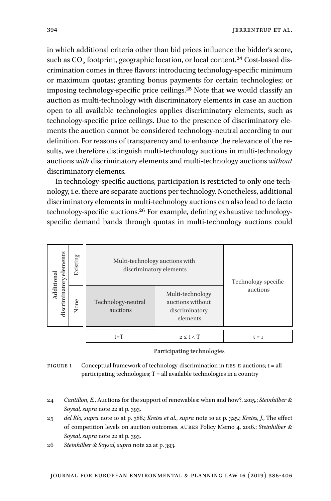in which additional criteria other than bid prices influence the bidder's score, such as CO<sub>2</sub> footprint, geographic location, or local content.<sup>24</sup> Cost-based discrimination comes in three flavors: introducing technology-specific minimum or maximum quotas; granting bonus payments for certain technologies; or imposing technology-specific price ceilings[.25](#page-8-1) Note that we would classify an auction as multi-technology with discriminatory elements in case an auction open to all available technologies applies discriminatory elements, such as technology-specific price ceilings. Due to the presence of discriminatory elements the auction cannot be considered technology-neutral according to our definition. For reasons of transparency and to enhance the relevance of the results, we therefore distinguish multi-technology auctions in multi-technology auctions *with* discriminatory elements and multi-technology auctions *without* discriminatory elements.

In technology-specific auctions, participation is restricted to only one technology, i.e. there are separate auctions per technology. Nonetheless, additional discriminatory elements in multi-technology auctions can also lead to de facto technology-specific auctions.[26](#page-8-2) For example, defining exhaustive technologyspecific demand bands through quotas in multi-technology auctions could

<span id="page-8-3"></span>

| elements<br>Additional | Existing | Multi-technology auctions with | discriminatory elements                                            | Technology-specific |
|------------------------|----------|--------------------------------|--------------------------------------------------------------------|---------------------|
| discriminatory         | None     | Technology-neutral<br>auctions | Multi-technology<br>auctions without<br>discriminatory<br>elements | auctions            |
|                        |          | $t=T$                          | $2 \leq t < T$                                                     | $t = 1$             |

#### **Participating technologies**

FIGURE 1 Conceptual framework of technology-discrimination in RES-E auctions;  $t = all$  $participating technologies; T = all available technologies in a country$ 

<span id="page-8-0"></span><sup>24</sup> *Cantillon, E.*, Auctions for the support of renewables: when and how?, 2015.; *Steinhilber & Soysal, supra* note 22 at p. 393.

<span id="page-8-1"></span><sup>25</sup> *del Río, supra* note 10 at p. 388.; *Kreiss et al.*, *supra* note 10 at p. 325.; *Kreiss, J.*, The effect of competition levels on auction outcomes. aures Policy Memo 4, 2016.; *Steinhilber & Soysal, supra* note 22 at p. 393.

<span id="page-8-2"></span><sup>26</sup> *Steinhilber & Soysal, supra* note 22 at p. 393.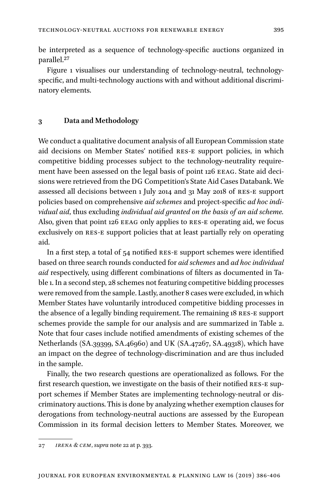be interpreted as a sequence of technology-specific auctions organized in parallel.[27](#page-9-0)

[Figure 1](#page-8-3) visualises our understanding of technology-neutral, technologyspecific, and multi-technology auctions with and without additional discriminatory elements.

## **3 Data and Methodology**

We conduct a qualitative document analysis of all European Commission state aid decisions on Member States' notified res-E support policies, in which competitive bidding processes subject to the technology-neutrality requirement have been assessed on the legal basis of point 126 EEAG. State aid decisions were retrieved from the DG Competition's State Aid Cases Databank. We assessed all decisions between 1 July 2014 and 31 May 2018 of res-E support policies based on comprehensive *aid schemes* and project-specific *ad hoc individual aid*, thus excluding *individual aid granted on the basis of an aid scheme.* Also, given that point 126 EEAG only applies to RES-E operating aid, we focus exclusively on res-E support policies that at least partially rely on operating aid.

In a first step, a total of 54 notified res-E support schemes were identified based on three search rounds conducted for *aid schemes* and *ad hoc individual aid* respectively, using different combinations of filters as documented in Table 1. In a second step, 28 schemes not featuring competitive bidding processes were removed from the sample. Lastly, another 8 cases were excluded, in which Member States have voluntarily introduced competitive bidding processes in the absence of a legally binding requirement. The remaining 18 res-E support schemes provide the sample for our analysis and are summarized in Table 2. Note that four cases include notified amendments of existing schemes of the Netherlands (SA.39399, SA.46960) and UK (SA.47267, SA.49318), which have an impact on the degree of technology-discrimination and are thus included in the sample.

Finally, the two research questions are operationalized as follows. For the first research question, we investigate on the basis of their notified RES-E support schemes if Member States are implementing technology-neutral or discriminatory auctions. This is done by analyzing whether exemption clauses for derogations from technology-neutral auctions are assessed by the European Commission in its formal decision letters to Member States. Moreover, we

<span id="page-9-0"></span><sup>27</sup> *irena & cem*, *supra* note 22 at p. 393.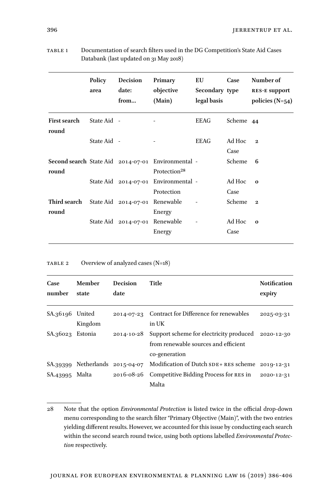|                              | Policy<br>area | Decision<br>date:<br>from      | Primary<br>objective<br>(Main)                                                 | EU<br>Secondary type<br>legal basis | Case           | Number of<br><b>RES-E support</b><br>policies $(N=54)$ |
|------------------------------|----------------|--------------------------------|--------------------------------------------------------------------------------|-------------------------------------|----------------|--------------------------------------------------------|
| <b>First search</b><br>round | State Aid -    |                                |                                                                                | <b>EEAG</b>                         | Scheme 44      |                                                        |
|                              | State Aid -    |                                |                                                                                | <b>EEAG</b>                         | Ad Hoc<br>Case | $\mathbf{2}$                                           |
| round                        |                |                                | Second search State Aid 2014-07-01 Environmental -<br>Protection <sup>28</sup> |                                     | Scheme         | 6                                                      |
|                              |                |                                | State Aid 2014-07-01 Environmental -<br>Protection                             |                                     | Ad Hoc<br>Case | $\bf{0}$                                               |
| Third search<br>round        |                | State Aid 2014-07-01 Renewable | Energy                                                                         |                                     | Scheme         | $\mathbf{2}$                                           |
|                              |                | State Aid 2014-07-01 Renewable | Energy                                                                         |                                     | Ad Hoc<br>Case | $\bf{o}$                                               |

Table 1 Documentation of search filters used in the DG Competition's State Aid Cases Databank (last updated on 31 May 2018)

## TABLE 2 Overview of analyzed cases (N=18)

| Case<br>number   | Member<br>state        | Decision<br>date | Title                                                                                            | <b>Notification</b><br>expiry |
|------------------|------------------------|------------------|--------------------------------------------------------------------------------------------------|-------------------------------|
| SA.36196 United  | Kingdom                |                  | 2014-07-23 Contract for Difference for renewables<br>in UK                                       | 2025-03-31                    |
| SA.36023 Estonia |                        | 2014-10-28       | Support scheme for electricity produced<br>from renewable sources and efficient<br>co-generation | 2020-12-30                    |
| SA.39399         | Netherlands 2015-04-07 |                  | Modification of Dutch SDE+ RES scheme                                                            | 2019-12-31                    |
| SA.43995 Malta   |                        | 2016-08-26       | Competitive Bidding Process for RES in<br>Malta                                                  | 2020-12-31                    |

<span id="page-10-0"></span><sup>28</sup> Note that the option *Environmental Protection* is listed twice in the official drop-down menu corresponding to the search filter "Primary Objective (Main)", with the two entries yielding different results. However, we accounted for this issue by conducting each search within the second search round twice, using both options labelled *Environmental Protection* respectively.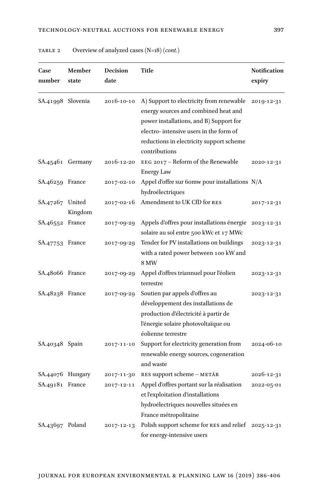| Case<br>number    | Member<br>state   | <b>Decision</b><br>date | Title                                                                                                                                                                                                                              | <b>Notification</b><br>expiry |
|-------------------|-------------------|-------------------------|------------------------------------------------------------------------------------------------------------------------------------------------------------------------------------------------------------------------------------|-------------------------------|
| SA.41998 Slovenia |                   | 2016-10-10              | A) Support to electricity from renewable<br>energy sources and combined heat and<br>power installations, and B) Support for<br>electro-intensive users in the form of<br>reductions in electricity support scheme<br>contributions | 2019-12-31                    |
|                   | SA.45461 Germany  | 2016-12-20              | EEG 2017 – Reform of the Renewable<br>Energy Law                                                                                                                                                                                   | 2020-12-31                    |
| SA.46259 France   |                   | 2017-02-10              | Appel d'offre sur 60mw pour installations $N/A$<br>hydroélectriques                                                                                                                                                                |                               |
| SA.47267          | United<br>Kingdom | 2017-02-16              | Amendment to UK CfD for RES                                                                                                                                                                                                        | 2017-12-31                    |
| SA.46552 France   |                   | 2017-09-29              | Appels d'offres pour installations énergie<br>solaire au sol entre 500 kWc et 17 MWc                                                                                                                                               | 2023-12-31                    |
| SA.47753 France   |                   | 2017-09-29              | Tender for PV installations on buildings<br>with a rated power between 100 kW and<br><b>8 MW</b>                                                                                                                                   | 2023-12-31                    |
| SA.48066 France   |                   | 2017-09-29              | Appel d'offres triannuel pour l'éolien<br>terrestre                                                                                                                                                                                | 2023-12-31                    |
| SA.48238 France   |                   | 2017-09-29              | Soutien par appels d'offres au<br>développement des installations de<br>production d'électricité à partir de<br>l'énergie solaire photovoltaïque ou<br>éolienne terrestre                                                          | 2023-12-31                    |
| SA.40348 Spain    |                   | 2017-11-10              | Support for electricity generation from<br>renewable energy sources, cogeneration<br>and waste                                                                                                                                     | 2024-06-10                    |
| SA.44076 Hungary  |                   | 2017-11-30              | RES support scheme – METÁR                                                                                                                                                                                                         | 2026-12-31                    |
| SA.49181          | France            | 2017-12-11              | Appel d'offres portant sur la réalisation<br>et l'exploitation d'installations<br>hydroélectriques nouvelles situées en<br>France métropolitaine                                                                                   | 2022-05-01                    |
| SA.43697 Poland   |                   | 2017-12-13              | Polish support scheme for RES and relief<br>for energy-intensive users                                                                                                                                                             | 2025-12-31                    |

Table 2 Overview of analyzed cases (N=18) *(cont.)*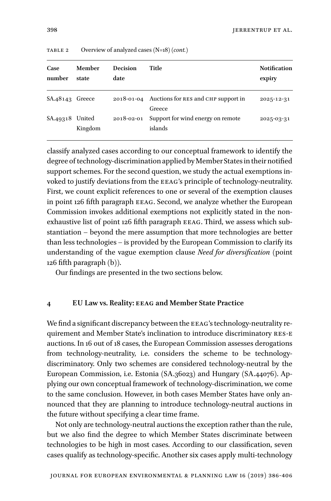| Case<br>number    | Member<br>state | <b>Decision</b><br>date | Title                                                    | <b>Notification</b><br>expiry |
|-------------------|-----------------|-------------------------|----------------------------------------------------------|-------------------------------|
| $SA.48143$ Greece |                 |                         | 2018-01-04 Auctions for RES and CHP support in<br>Greece | 2025-12-31                    |
| SA.49318 United   | Kingdom         | 2018-02-01              | Support for wind energy on remote<br>islands             | 2025-03-31                    |

Table 2 Overview of analyzed cases (N=18) *(cont.)*

classify analyzed cases according to our conceptual framework to identify the degree of technology-discrimination applied by Member States in their notified support schemes. For the second question, we study the actual exemptions invoked to justify deviations from the eeag's principle of technology-neutrality. First, we count explicit references to one or several of the exemption clauses in point 126 fifth paragraph eeag. Second, we analyze whether the European Commission invokes additional exemptions not explicitly stated in the nonexhaustive list of point 126 fifth paragraph EEAG. Third, we assess which substantiation – beyond the mere assumption that more technologies are better than less technologies – is provided by the European Commission to clarify its understanding of the vague exemption clause *Need for diversification* (point 126 fifth paragraph (b)).

Our findings are presented in the two sections below.

### **4 EU Law vs. Reality: eeag and Member State Practice**

We find a significant discrepancy between the EEAG's technology-neutrality requirement and Member State's inclination to introduce discriminatory res-E auctions. In 16 out of 18 cases, the European Commission assesses derogations from technology-neutrality, i.e. considers the scheme to be technologydiscriminatory. Only two schemes are considered technology-neutral by the European Commission, i.e. Estonia (SA.36023) and Hungary (SA.44076). Applying our own conceptual framework of technology-discrimination, we come to the same conclusion. However, in both cases Member States have only announced that they are planning to introduce technology-neutral auctions in the future without specifying a clear time frame.

Not only are technology-neutral auctions the exception rather than the rule, but we also find the degree to which Member States discriminate between technologies to be high in most cases. According to our classification, seven cases qualify as technology-specific. Another six cases apply multi-technology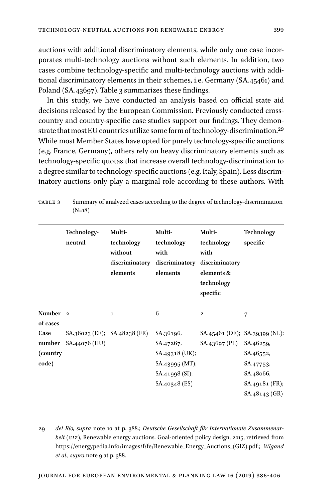auctions with additional discriminatory elements, while only one case incorporates multi-technology auctions without such elements. In addition, two cases combine technology-specific and multi-technology auctions with additional discriminatory elements in their schemes, i.e. Germany (SA.45461) and Poland (SA.43697). Table 3 summarizes these findings.

In this study, we have conducted an analysis based on official state aid decisions released by the European Commission. Previously conducted crosscountry and country-specific case studies support our findings. They demonstrate that most EU countries utilize some form of technology-discrimination[.29](#page-13-0) While most Member States have opted for purely technology-specific auctions (e.g. France, Germany), others rely on heavy discriminatory elements such as technology-specific quotas that increase overall technology-discrimination to a degree similar to technology-specific auctions (e.g. Italy, Spain). Less discriminatory auctions only play a marginal role according to these authors. With

|                                 | Technology-<br>neutral | Multi-<br>technology<br>without<br>discriminatory<br>elements | Multi-<br>technology<br>with<br>discriminatory<br>elements | Multi-<br>technology<br>with<br>discriminatory<br>elements &<br>technology<br>specific | <b>Technology</b><br>specific                               |
|---------------------------------|------------------------|---------------------------------------------------------------|------------------------------------------------------------|----------------------------------------------------------------------------------------|-------------------------------------------------------------|
| Number <sub>2</sub><br>of cases |                        | $\bf{1}$                                                      | 6                                                          | $\mathbf{2}$                                                                           | 7                                                           |
| Case<br>(country)               | number SA.44076 (HU)   | $SA.36023$ (EE); $SA.48238$ (FR)                              | SA.36196,<br>SA.47267,<br>$SA.49318$ (UK);                 | SA.43697 (PL)                                                                          | $SA.45461$ (DE); $SA.39399$ (NL);<br>SA.46259,<br>SA.46552, |
| code)                           |                        |                                                               | SA.43995 (MT);<br>SA.41998 (SI);<br>SA.40348 (ES)          |                                                                                        | SA.47753,<br>SA.48066,<br>SA.49181 (FR);<br>SA.48143(GR)    |

Table 3 Summary of analyzed cases according to the degree of technology-discrimination  $(N=18)$ 

<span id="page-13-0"></span><sup>29</sup> *del Río, supra* note 10 at p. 388.; *Deutsche Gesellschaft für Internationale Zusammenarbeit (giz)*, Renewable energy auctions. Goal-oriented policy design, 2015, retrieved from [https://energypedia.info/images/f/fe/Renewable\\_Energy\\_Auctions\\_\(GIZ\).pdf.](https://energypedia.info/images/f/fe/Renewable_Energy_Auctions_(GIZ).pdf); *Wigand et al., supra* note 9 at p. 388.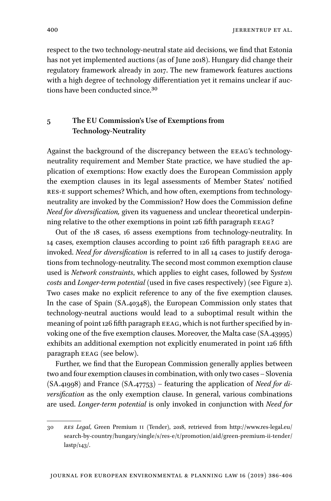respect to the two technology-neutral state aid decisions, we find that Estonia has not yet implemented auctions (as of June 2018). Hungary did change their regulatory framework already in 2017. The new framework features auctions with a high degree of technology differentiation yet it remains unclear if auctions have been conducted since[.30](#page-14-0)

## **5 The EU Commission's Use of Exemptions from Technology-Neutrality**

Against the background of the discrepancy between the EEAG's technologyneutrality requirement and Member State practice, we have studied the application of exemptions: How exactly does the European Commission apply the exemption clauses in its legal assessments of Member States' notified res-E support schemes? Which, and how often, exemptions from technologyneutrality are invoked by the Commission? How does the Commission define *Need for diversification,* given its vagueness and unclear theoretical underpinning relative to the other exemptions in point 126 fifth paragraph EEAG?

Out of the 18 cases, 16 assess exemptions from technology-neutrality. In 14 cases, exemption clauses according to point 126 fifth paragraph eeag are invoked. *Need for diversification* is referred to in all 14 cases to justify derogations from technology-neutrality. The second most common exemption clause used is *Network constraints*, which applies to eight cases, followed by S*ystem costs* and *Longer-term potential* (used in five cases respectively) (see [Figure 2\)](#page-15-0). Two cases make no explicit reference to any of the five exemption clauses. In the case of Spain (SA.40348), the European Commission only states that technology-neutral auctions would lead to a suboptimal result within the meaning of point 126 fifth paragraph EEAG, which is not further specified by invoking one of the five exemption clauses. Moreover, the Malta case (SA.43995) exhibits an additional exemption not explicitly enumerated in point 126 fifth paragraph EEAG (see below).

Further, we find that the European Commission generally applies between two and four exemption clauses in combination, with only two cases – Slovenia (SA.41998) and France (SA.47753) – featuring the application of *Need for diversification* as the only exemption clause. In general, various combinations are used. *Longer-term potential* is only invoked in conjunction with *Need for* 

<span id="page-14-0"></span><sup>30</sup> *res Legal*, Green Premium ii (Tender), 2018, retrieved from [http://www.res-legal.eu/](http://www.res-legal.eu/search-by-country/hungary/single/s/res-e/t/promotion/aid/green-premium-ii-tender/lastp/143/) [search-by-country/hungary/single/s/res-e/t/promotion/aid/green-premium-ii-tender/](http://www.res-legal.eu/search-by-country/hungary/single/s/res-e/t/promotion/aid/green-premium-ii-tender/lastp/143/) [lastp/143/](http://www.res-legal.eu/search-by-country/hungary/single/s/res-e/t/promotion/aid/green-premium-ii-tender/lastp/143/).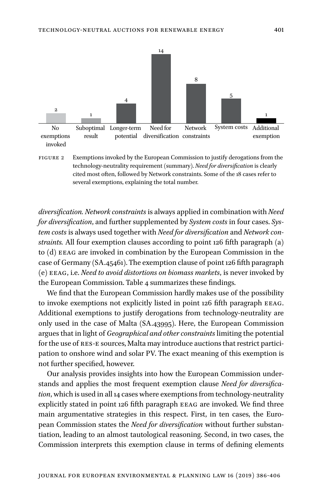<span id="page-15-0"></span>

Figure 2 Exemptions invoked by the European Commission to justify derogations from the technology-neutrality requirement (summary). *Need for diversification* is clearly cited most often, followed by Network constraints. Some of the 18 cases refer to several exemptions, explaining the total number.

*diversification. Network constraints* is always applied in combination with *Need for diversification*, and further supplemented by *System costs* in four cases. *System costs* is always used together with *Need for diversification* and *Network constraints.* All four exemption clauses according to point 126 fifth paragraph (a) to (d) EEAG are invoked in combination by the European Commission in the case of Germany (SA.45461). The exemption clause of point 126 fifth paragraph (e) eeag, i.e. *Need to avoid distortions on biomass markets*, is never invoked by the European Commission. Table 4 summarizes these findings.

We find that the European Commission hardly makes use of the possibility to invoke exemptions not explicitly listed in point 126 fifth paragraph EEAG. Additional exemptions to justify derogations from technology-neutrality are only used in the case of Malta (SA.43995). Here, the European Commission argues that in light of *Geographical and other constraints* limiting the potential for the use of RES-E sources, Malta may introduce auctions that restrict participation to onshore wind and solar PV. The exact meaning of this exemption is not further specified, however.

Our analysis provides insights into how the European Commission understands and applies the most frequent exemption clause *Need for diversification*, which is used in all 14 cases where exemptions from technology-neutrality explicitly stated in point 126 fifth paragraph eeag are invoked*.* We find three main argumentative strategies in this respect. First, in ten cases, the European Commission states the *Need for diversification* without further substantiation, leading to an almost tautological reasoning. Second, in two cases, the Commission interprets this exemption clause in terms of defining elements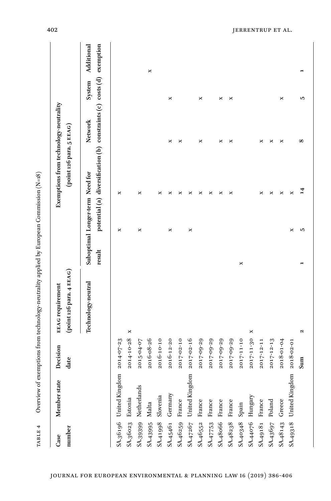| TABLE 4           |                         |                  | Overview of exemptions from technology-neutrality applied by European Commission (N=18) |        |                                 |                                                                       |              |        |            |
|-------------------|-------------------------|------------------|-----------------------------------------------------------------------------------------|--------|---------------------------------|-----------------------------------------------------------------------|--------------|--------|------------|
| number<br>Case    | Member state            | Decision<br>date | (point 126 para. 4 EEAG)<br><b>EEAG</b> requirement                                     |        |                                 | Exemptions from technology-neutrality<br>(point 126 para. 5 EEAG)     |              |        |            |
|                   |                         |                  | Technology-neutral                                                                      | result | Suboptimal Longer-term Need for | potential (a) diversification (b) constraints (c) costs (d) exemption | Network      | System | Additional |
|                   | SA.36196 United Kingdom | $2014 - 07 - 23$ |                                                                                         |        | ×                               | ×                                                                     |              |        |            |
| SA.36023 Estonia  |                         | 2014-10-28       | ×                                                                                       |        |                                 |                                                                       |              |        |            |
|                   | SA.39399 Netherlands    | 2015-04-07       |                                                                                         |        | ×                               | ×                                                                     |              |        |            |
| SA.43995 Malta    |                         | 2016-08-26       |                                                                                         |        |                                 |                                                                       |              |        | ×          |
| SA.41998 Slovenia |                         | 2016-10-10       |                                                                                         |        |                                 | ×                                                                     |              |        |            |
| SA.45461 Germany  |                         | 2016-12-20       |                                                                                         |        | ×                               | ×                                                                     | ×            | ×      |            |
| SA.46259 France   |                         | 2017-02-10       |                                                                                         |        |                                 | ×                                                                     | ×            |        |            |
|                   | SA.47267 United Kingdom | 2017-02-16       |                                                                                         |        | ×                               | ×                                                                     |              |        |            |
| SA.46552 France   |                         | 2017-09-29       |                                                                                         |        |                                 | ×                                                                     | ×            | ×      |            |
| SA.47753 France   |                         | 2017-09-29       |                                                                                         |        |                                 | ×                                                                     |              |        |            |
| SA.48066 France   |                         | 2017-09-29       |                                                                                         |        |                                 | ×                                                                     | ×            | ×      |            |
| SA.48238 France   |                         | 2017-09-29       |                                                                                         |        |                                 | ×                                                                     | ×            | ×      |            |
| SA.40348 Spain    |                         | 2017-11-10       |                                                                                         | ×      |                                 |                                                                       |              |        |            |
| SA.44076 Hungary  |                         | 2017-11-30       | ×                                                                                       |        |                                 |                                                                       |              |        |            |
| SA.49181 France   |                         | 2017-12-11       |                                                                                         |        |                                 | ×                                                                     | ×            |        |            |
| SA.43697 Poland   |                         | 2017-12-13       |                                                                                         |        |                                 | ×                                                                     | ×            |        |            |
| SA.48143 Greece   |                         | 2018-01-04       |                                                                                         |        |                                 | ×                                                                     | ×            | ×      |            |
|                   | SA.49318 United Kingdom | 2018-02-01       |                                                                                         |        | ×                               | ×                                                                     |              |        |            |
|                   |                         | Sum              | N                                                                                       |        | 5                               | 14                                                                    | ${}^{\circ}$ | LO.    |            |

Overview of exemptions from technology-neutrality applied by European Commission  $(N=18)$ TABLE 4 Overview of exemptions from technology-neutrality applied by European Commission (N=18)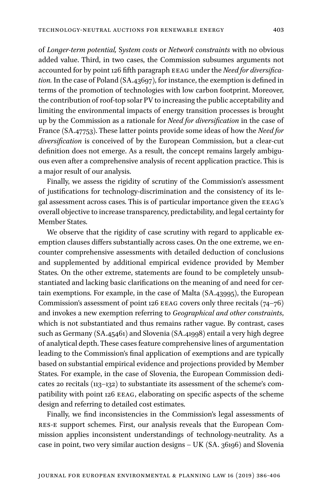of *Longer-term potential,* S*ystem costs* or *Network constraints* with no obvious added value. Third, in two cases, the Commission subsumes arguments not accounted for by point 126 fifth paragraph eeag under the *Need for diversification.* In the case of Poland (SA.43697), for instance, the exemption is defined in terms of the promotion of technologies with low carbon footprint. Moreover, the contribution of roof-top solar PV to increasing the public acceptability and limiting the environmental impacts of energy transition processes is brought up by the Commission as a rationale for *Need for diversification* in the case of France (SA.47753). These latter points provide some ideas of how the *Need for diversification* is conceived of by the European Commission, but a clear-cut definition does not emerge. As a result, the concept remains largely ambiguous even after a comprehensive analysis of recent application practice. This is a major result of our analysis.

Finally, we assess the rigidity of scrutiny of the Commission's assessment of justifications for technology-discrimination and the consistency of its legal assessment across cases. This is of particular importance given the eeag's overall objective to increase transparency, predictability, and legal certainty for Member States.

We observe that the rigidity of case scrutiny with regard to applicable exemption clauses differs substantially across cases. On the one extreme, we encounter comprehensive assessments with detailed deduction of conclusions and supplemented by additional empirical evidence provided by Member States. On the other extreme, statements are found to be completely unsubstantiated and lacking basic clarifications on the meaning of and need for certain exemptions. For example, in the case of Malta (SA.43995), the European Commission's assessment of point 126 EEAG covers only three recitals  $(74-76)$ and invokes a new exemption referring to *Geographical and other constraints*, which is not substantiated and thus remains rather vague. By contrast, cases such as Germany (SA.45461) and Slovenia (SA.41998) entail a very high degree of analytical depth. These cases feature comprehensive lines of argumentation leading to the Commission's final application of exemptions and are typically based on substantial empirical evidence and projections provided by Member States. For example, in the case of Slovenia, the European Commission dedicates 20 recitals (113–132) to substantiate its assessment of the scheme's compatibility with point 126 EEAG, elaborating on specific aspects of the scheme design and referring to detailed cost estimates.

Finally, we find inconsistencies in the Commission's legal assessments of res-E support schemes. First, our analysis reveals that the European Commission applies inconsistent understandings of technology-neutrality. As a case in point, two very similar auction designs – UK (SA. 36196) and Slovenia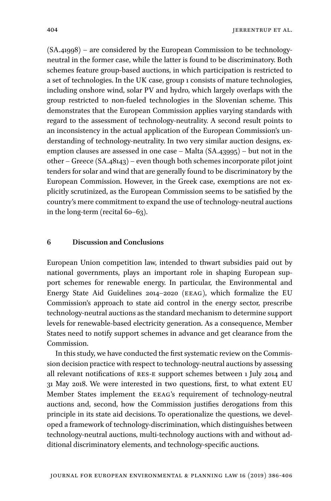(SA.41998) – are considered by the European Commission to be technologyneutral in the former case, while the latter is found to be discriminatory. Both schemes feature group-based auctions, in which participation is restricted to a set of technologies. In the UK case, group 1 consists of mature technologies, including onshore wind, solar PV and hydro, which largely overlaps with the group restricted to non-fueled technologies in the Slovenian scheme. This demonstrates that the European Commission applies varying standards with regard to the assessment of technology-neutrality. A second result points to an inconsistency in the actual application of the European Commission's understanding of technology-neutrality. In two very similar auction designs, exemption clauses are assessed in one case – Malta (SA.43995) – but not in the other – Greece (SA.48143) – even though both schemes incorporate pilot joint tenders for solar and wind that are generally found to be discriminatory by the European Commission. However, in the Greek case, exemptions are not explicitly scrutinized, as the European Commission seems to be satisfied by the country's mere commitment to expand the use of technology-neutral auctions in the long-term (recital 60–63).

## **6 Discussion and Conclusions**

European Union competition law, intended to thwart subsidies paid out by national governments, plays an important role in shaping European support schemes for renewable energy. In particular, the Environmental and Energy State Aid Guidelines 2014–2020 (eeag), which formalize the EU Commission's approach to state aid control in the energy sector, prescribe technology-neutral auctions as the standard mechanism to determine support levels for renewable-based electricity generation. As a consequence, Member States need to notify support schemes in advance and get clearance from the Commission.

In this study, we have conducted the first systematic review on the Commission decision practice with respect to technology-neutral auctions by assessing all relevant notifications of res-E support schemes between 1 July 2014 and 31 May 2018. We were interested in two questions, first, to what extent EU Member States implement the eeag's requirement of technology-neutral auctions and, second, how the Commission justifies derogations from this principle in its state aid decisions. To operationalize the questions, we developed a framework of technology-discrimination, which distinguishes between technology-neutral auctions, multi-technology auctions with and without additional discriminatory elements, and technology-specific auctions.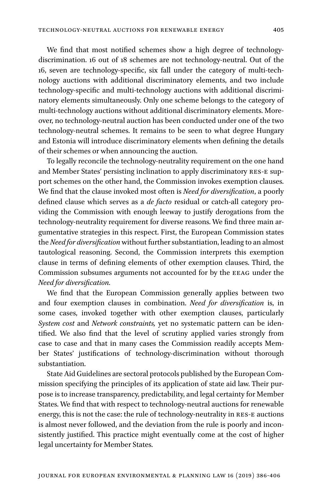We find that most notified schemes show a high degree of technologydiscrimination. 16 out of 18 schemes are not technology-neutral. Out of the 16, seven are technology-specific, six fall under the category of multi-technology auctions with additional discriminatory elements, and two include technology-specific and multi-technology auctions with additional discriminatory elements simultaneously. Only one scheme belongs to the category of multi-technology auctions without additional discriminatory elements. Moreover, no technology-neutral auction has been conducted under one of the two technology-neutral schemes. It remains to be seen to what degree Hungary and Estonia will introduce discriminatory elements when defining the details of their schemes or when announcing the auction.

To legally reconcile the technology-neutrality requirement on the one hand and Member States' persisting inclination to apply discriminatory res-E support schemes on the other hand, the Commission invokes exemption clauses. We find that the clause invoked most often is *Need for diversification*, a poorly defined clause which serves as a *de facto* residual or catch-all category providing the Commission with enough leeway to justify derogations from the technology-neutrality requirement for diverse reasons. We find three main argumentative strategies in this respect. First, the European Commission states the *Need for diversification* without further substantiation, leading to an almost tautological reasoning. Second, the Commission interprets this exemption clause in terms of defining elements of other exemption clauses. Third, the Commission subsumes arguments not accounted for by the eeag under the *Need for diversification.*

We find that the European Commission generally applies between two and four exemption clauses in combination. *Need for diversification* is, in some cases, invoked together with other exemption clauses, particularly *System cost* and *Network constraints,* yet no systematic pattern can be identified. We also find that the level of scrutiny applied varies strongly from case to case and that in many cases the Commission readily accepts Member States' justifications of technology-discrimination without thorough substantiation.

State Aid Guidelines are sectoral protocols published by the European Commission specifying the principles of its application of state aid law. Their purpose is to increase transparency, predictability, and legal certainty for Member States. We find that with respect to technology-neutral auctions for renewable energy, this is not the case: the rule of technology-neutrality in RES-E auctions is almost never followed, and the deviation from the rule is poorly and inconsistently justified. This practice might eventually come at the cost of higher legal uncertainty for Member States.